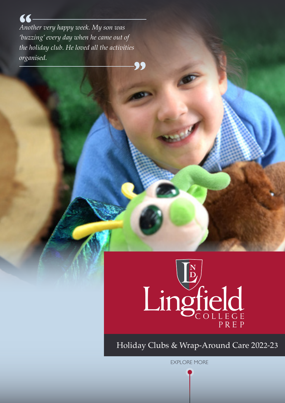**"** *Another very happy week. My son was 'buzzing' every day when he came out of the holiday club. He loved all the activities organised.*

**"**



Holiday Clubs & Wrap-Around Care 2022-23

EXPLORE MORE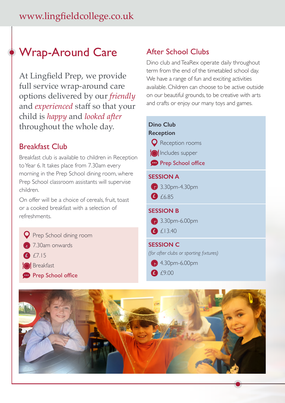## Wrap-Around Care

At Lingfield Prep, we provide full service wrap-around care options delivered by our *friendly* and *experienced* staff so that your child is *happy* and *looked after*  throughout the whole day.

### Breakfast Club

Breakfast club is available to children in Reception to Year 6. It takes place from 7.30am every morning in the Prep School dining room, where Prep School classroom assistants will supervise children.

On offer will be a choice of cereals, fruit, toast or a cooked breakfast with a selection of refreshments.

- **Q** Prep School dining room
- **2** 7.30am onwards
- £7.15 **£**
- **O** Breakfast
- **Prep School office**

## After School Clubs

Dino club and TeaRex operate daily throughout term from the end of the timetabled school day. We have a range of fun and exciting activities available. Children can choose to be active outside on our beautiful grounds, to be creative with arts and crafts or enjoy our many toys and games.

| <b>Dino Club</b><br><b>Reception</b><br><b>Q</b> Reception rooms<br><b>O</b> Includes supper<br><b>Prep School office</b> |
|---------------------------------------------------------------------------------------------------------------------------|
| <b>SESSION A</b><br>3.30pm-4.30pm<br>6.85                                                                                 |
| <b>SESSION B</b><br>3.30pm-6.00pm<br>f13.40                                                                               |
| <b>SESSION C</b><br>(for after clubs or sporting fixtures)<br>$4.30pm-6.00pm$<br>$\bullet$ £9.00                          |

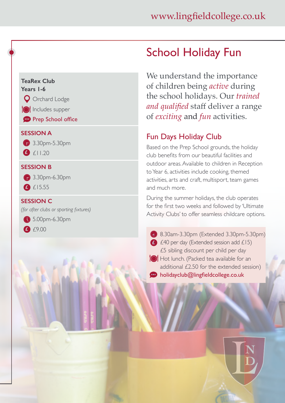#### **TeaRex Club Years 1-6**



**Includes supper** 

**Prep School office** 

#### **SESSION A**



£11.20 **£**

#### **SESSION B**

**3.30pm-6.30pm** £15.55 **£**

#### **SESSION C**

*(for after clubs or sporting fixtures)*

**6.30pm**-6.30pm £9.00 **£**

# School Holiday Fun

We understand the importance of children being *active* during the school holidays. Our *trained and qualified* staff deliver a range of *exciting* and *fun* activities.

## Fun Days Holiday Club

Based on the Prep School grounds, the holiday club benefits from our beautiful facilities and outdoor areas. Available to children in Reception to Year 6, activities include cooking, themed activities, arts and craft, multisport, team games and much more.

During the summer holidays, the club operates for the first two weeks and followed by 'Ultimate Activity Clubs' to offer seamless childcare options.

8.30am-3.30pm (Extended 3.30pm-5.30pm) £40 per day (Extended session add £15) **£**£5 sibling discount per child per day Hot lunch. (Packed tea available for an additional £2.50 for the extended session) holidayclub@lingfieldcollege.co.uk